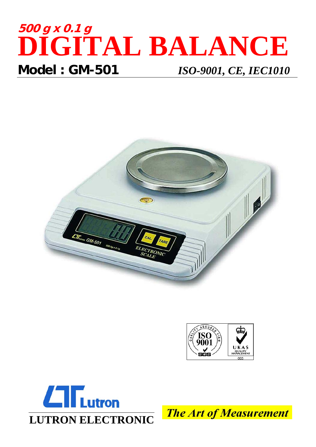## **500 g x 0.1 g DIGITAL BALANCE Model : GM-501** *ISO-9001, CE, IEC1010*